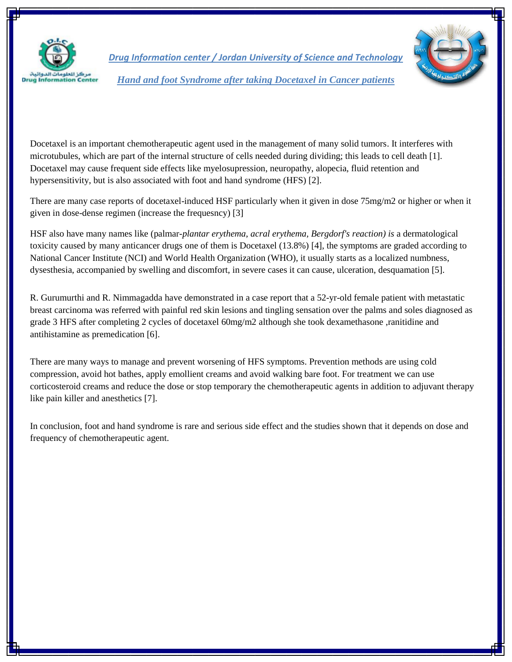

*Drug Information center / Jordan University of Science and Technology Hand and foot Syndrome after taking Docetaxel in Cancer patients*

Docetaxel is an important chemotherapeutic agent used in the management of many solid tumors. It interferes with microtubules, which are part of the internal structure of cells needed during dividing; this leads to cell death [1]. Docetaxel may cause frequent side effects like myelosupression, neuropathy, alopecia, fluid retention and hypersensitivity, but is also associated with foot and hand syndrome (HFS) [2].

There are many case reports of docetaxel-induced HSF particularly when it given in dose 75mg/m2 or higher or when it given in dose-dense regimen (increase the frequesncy) [3]

HSF also have many names like (palmar*-plantar erythema*, *acral erythema, Bergdorf's reaction) is* a dermatological toxicity caused by many anticancer drugs one of them is Docetaxel (13.8%) [4], the symptoms are graded according to National Cancer Institute (NCI) and World Health Organization (WHO), it usually starts as a localized numbness, dysesthesia, accompanied by swelling and discomfort, in severe cases it can cause, ulceration, desquamation [5].

R. [Gurumurthi](http://www.ncbi.nlm.nih.gov/pubmed/?term=Gurumurthi%20R%5Bauth%5D) and R. [Nimmagadda](http://www.ncbi.nlm.nih.gov/pubmed/?term=Nimmagadda%20RB%5Bauth%5D) have demonstrated in a case report that a 52-yr-old female patient with metastatic breast carcinoma was referred with painful red skin lesions and tingling sensation over the palms and soles diagnosed as grade 3 HFS after completing 2 cycles of docetaxel 60mg/m2 although she took dexamethasone ,ranitidine and antihistamine as premedication [6].

There are many ways to manage and prevent worsening of HFS symptoms. Prevention methods are using cold compression, avoid hot bathes, apply emollient creams and avoid walking bare foot. For treatment we can use corticosteroid creams and reduce the dose or stop temporary the chemotherapeutic agents in addition to adjuvant therapy like pain killer and anesthetics [7].

In conclusion, foot and hand syndrome is rare and serious side effect and the studies shown that it depends on dose and frequency of chemotherapeutic agent.